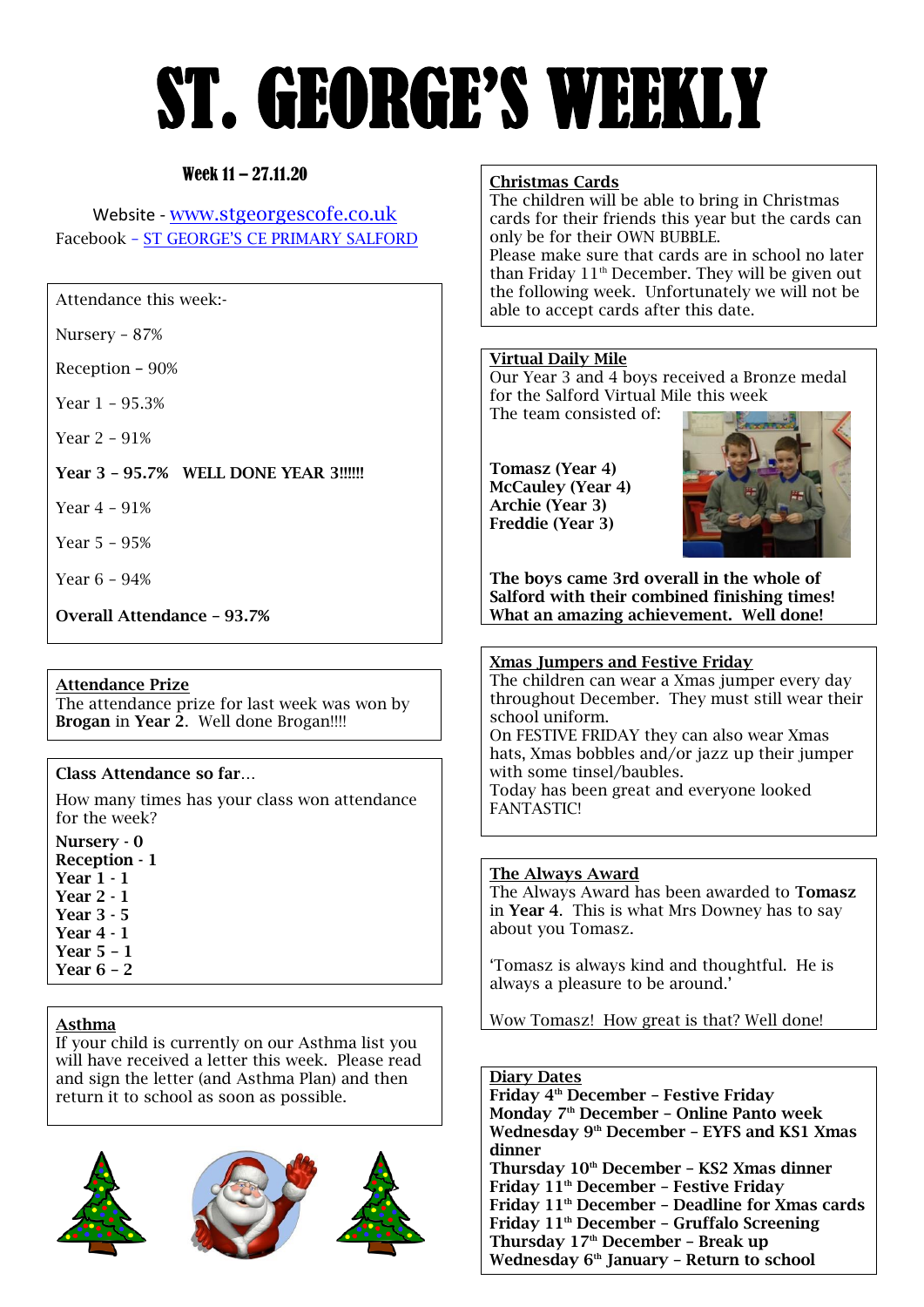# ST. GEORGE'S WEEKLY

### Week 11 – 27.11.20

Website - [www.stgeorgescofe.co.uk](http://www.stgeorgescofe.co.uk/) Facebook – ST GEORGE'S CE PRIMARY SALFORD

Attendance this week:-

Nursery – 87%

Reception **–** 90%

Year 1 – 95.3%

Year 2 – 91%

**Year 3 – 95.7% WELL DONE YEAR 3!!!!!!**

Year 4 – 91%

Year 5 – 95%

Year 6 – 94%

 $\overline{a}$ 

**Overall Attendance – 93.7%**

#### **Attendance Prize**

The attendance prize for last week was won by **Brogan** in **Year 2**. Well done Brogan!!!!

#### **Class Attendance so far…**

How many times has your class won attendance for the week?

**Nursery - 0**

**Reception - 1**

- **Year 1 - 1**
- **Year 2 - 1**
- **Year 3 - 5**
- **Year 4 - 1**
- **Year 5 – 1 Year 6 – 2**

#### **Asthma**

If your child is currently on our Asthma list you will have received a letter this week. Please read and sign the letter (and Asthma Plan) and then return it to school as soon as possible.







#### **Christmas Cards**

The children will be able to bring in Christmas cards for their friends this year but the cards can only be for their OWN BUBBLE. Please make sure that cards are in school no later

than Friday  $11<sup>th</sup>$  December. They will be given out the following week. Unfortunately we will not be able to accept cards after this date.

#### **Virtual Daily Mile**

Our Year 3 and 4 boys received a Bronze medal for the Salford Virtual Mile this week The team consisted of:

**Tomasz (Year 4) McCauley (Year 4) Archie (Year 3) Freddie (Year 3)**



**The boys came 3rd overall in the whole of Salford with their combined finishing times! What an amazing achievement. Well done!**

#### **Xmas Jumpers and Festive Friday**

The children can wear a Xmas jumper every day throughout December. They must still wear their school uniform. On FESTIVE FRIDAY they can also wear Xmas hats, Xmas bobbles and/or jazz up their jumper with some tinsel/baubles. Today has been great and everyone looked FANTASTIC!

#### **The Always Award**

The Always Award has been awarded to **Tomasz** in **Year 4**. This is what Mrs Downey has to say about you Tomasz.

'Tomasz is always kind and thoughtful. He is always a pleasure to be around.'

Wow Tomasz! How great is that? Well done!

#### **Diary Dates**

**Friday 4th December – Festive Friday Monday 7th December – Online Panto week Wednesday 9th December – EYFS and KS1 Xmas dinner Thursday 10th December – KS2 Xmas dinner Friday 11th December – Festive Friday Friday 11th December – Deadline for Xmas cards Friday 11th December – Gruffalo Screening Thursday 17th December – Break up Wednesday 6th January – Return to school**